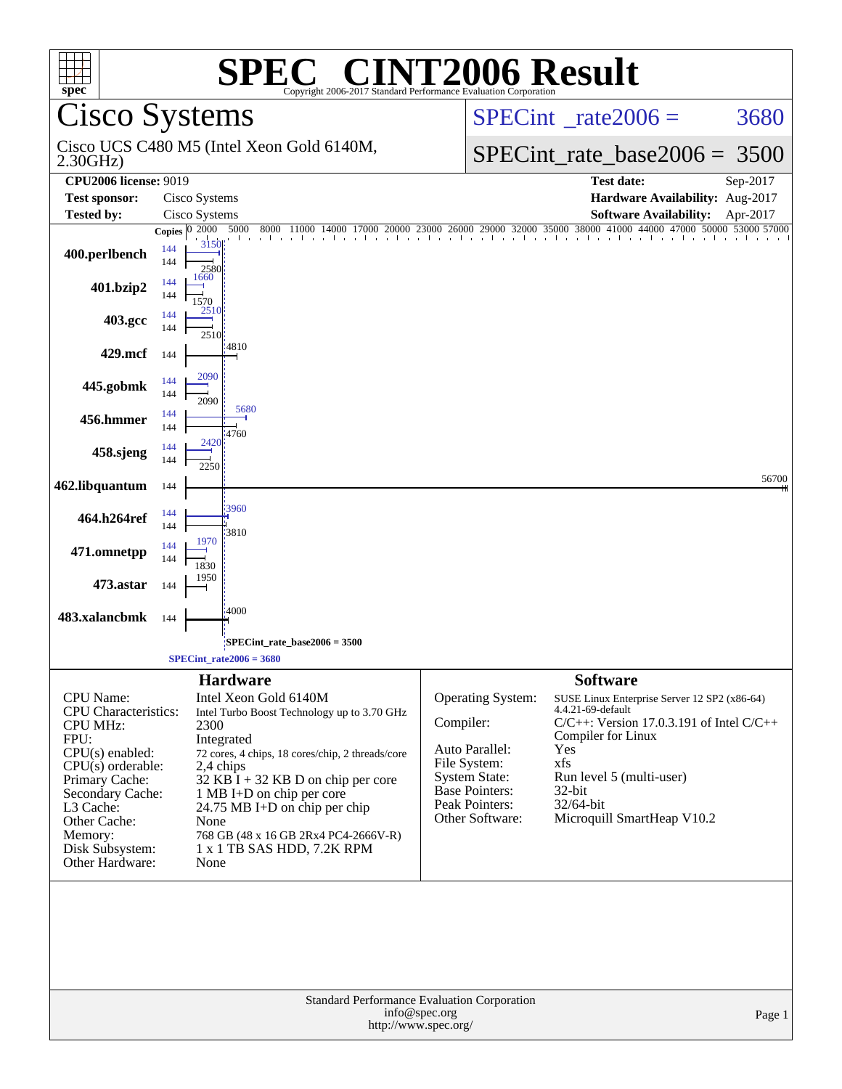| <b>T2006 Result</b><br>$\mathbb{C}^{\mathbb{T}}$<br>SPE<br>spec <sup>®</sup><br>Copyright 2006-2017 Standard Performance Evaluation Corporation |                                            |                                                                     |               |                                      |                                                                    |          |  |
|-------------------------------------------------------------------------------------------------------------------------------------------------|--------------------------------------------|---------------------------------------------------------------------|---------------|--------------------------------------|--------------------------------------------------------------------|----------|--|
| <b>Cisco Systems</b>                                                                                                                            |                                            |                                                                     |               | $SPECint^{\circ}$ rate $2006 =$      | 3680                                                               |          |  |
| 2.30GHz                                                                                                                                         |                                            | Cisco UCS C480 M5 (Intel Xeon Gold 6140M,                           |               | $SPECint_rate\_base2006 =$           | 3500                                                               |          |  |
| <b>CPU2006 license: 9019</b>                                                                                                                    |                                            |                                                                     |               |                                      | <b>Test date:</b>                                                  | Sep-2017 |  |
| <b>Test sponsor:</b>                                                                                                                            | Cisco Systems                              |                                                                     |               |                                      | Hardware Availability: Aug-2017                                    |          |  |
| <b>Tested by:</b>                                                                                                                               | Cisco Systems                              |                                                                     |               |                                      | <b>Software Availability:</b><br>44000 47000 50000 53000 57000     | Apr-2017 |  |
| 400.perlbench                                                                                                                                   | 2000<br>Copies $ 0 $<br>144<br>144<br>1660 | 5000<br>8000<br>11000<br>17000<br>3150<br>2580                      |               |                                      |                                                                    |          |  |
| 401.bzip2                                                                                                                                       | 144<br>144<br>1570<br>2510                 |                                                                     |               |                                      |                                                                    |          |  |
| 403.gcc                                                                                                                                         | 144<br>144                                 | 2510                                                                |               |                                      |                                                                    |          |  |
| 429.mcf                                                                                                                                         | 144<br>2090                                | 14810                                                               |               |                                      |                                                                    |          |  |
| 445.gobmk                                                                                                                                       | 144<br>144<br>2090<br>144                  | 5680                                                                |               |                                      |                                                                    |          |  |
| 456.hmmer                                                                                                                                       | 144<br>144                                 | 4760<br>$\frac{2420}{1}$                                            |               |                                      |                                                                    |          |  |
| 458.sjeng                                                                                                                                       | 144<br>2250                                |                                                                     |               |                                      |                                                                    | 56700    |  |
| 462.libquantum                                                                                                                                  | 144                                        | 3960                                                                |               |                                      |                                                                    |          |  |
| 464.h264ref                                                                                                                                     | 144<br>144<br>1970                         | 3810                                                                |               |                                      |                                                                    |          |  |
| 471.omnetpp                                                                                                                                     | 144<br>144<br>1830                         |                                                                     |               |                                      |                                                                    |          |  |
| 473.astar                                                                                                                                       | 1950<br>144                                |                                                                     |               |                                      |                                                                    |          |  |
| 483.xalancbmk                                                                                                                                   | 144                                        | 4000                                                                |               |                                      |                                                                    |          |  |
|                                                                                                                                                 |                                            | SPECint rate base $2006 = 3500$<br>SPECint rate $2006 = 3680$       |               |                                      |                                                                    |          |  |
|                                                                                                                                                 |                                            | <b>Hardware</b>                                                     |               |                                      | <b>Software</b>                                                    |          |  |
| <b>CPU</b> Name:                                                                                                                                |                                            | Intel Xeon Gold 6140M                                               |               | Operating System:                    | SUSE Linux Enterprise Server 12 SP2 (x86-64)                       |          |  |
| <b>CPU</b> Characteristics:                                                                                                                     |                                            | Intel Turbo Boost Technology up to 3.70 GHz                         | Compiler:     |                                      | 4.4.21-69-default<br>$C/C++$ : Version 17.0.3.191 of Intel $C/C++$ |          |  |
| <b>CPU MHz:</b><br>FPU:                                                                                                                         | 2300                                       | Integrated                                                          |               |                                      | Compiler for Linux                                                 |          |  |
| $CPU(s)$ enabled:                                                                                                                               |                                            | 72 cores, 4 chips, 18 cores/chip, 2 threads/core                    |               | Auto Parallel:                       | Yes                                                                |          |  |
| $CPU(s)$ orderable:<br>Primary Cache:                                                                                                           |                                            | 2,4 chips<br>$32$ KB I + 32 KB D on chip per core                   |               | File System:<br><b>System State:</b> | xfs<br>Run level 5 (multi-user)                                    |          |  |
| Secondary Cache:                                                                                                                                |                                            | 1 MB I+D on chip per core                                           |               | <b>Base Pointers:</b>                | $32$ -bit                                                          |          |  |
| L3 Cache:                                                                                                                                       |                                            | 24.75 MB I+D on chip per chip                                       |               | Peak Pointers:<br>Other Software:    | 32/64-bit<br>Microquill SmartHeap V10.2                            |          |  |
| Other Cache:<br>Memory:                                                                                                                         |                                            | None<br>768 GB (48 x 16 GB 2Rx4 PC4-2666V-R)                        |               |                                      |                                                                    |          |  |
| Disk Subsystem:                                                                                                                                 |                                            | 1 x 1 TB SAS HDD, 7.2K RPM                                          |               |                                      |                                                                    |          |  |
| Other Hardware:                                                                                                                                 | None                                       |                                                                     |               |                                      |                                                                    |          |  |
|                                                                                                                                                 |                                            |                                                                     |               |                                      |                                                                    |          |  |
|                                                                                                                                                 |                                            | Standard Performance Evaluation Corporation<br>http://www.spec.org/ | info@spec.org |                                      |                                                                    | Page 1   |  |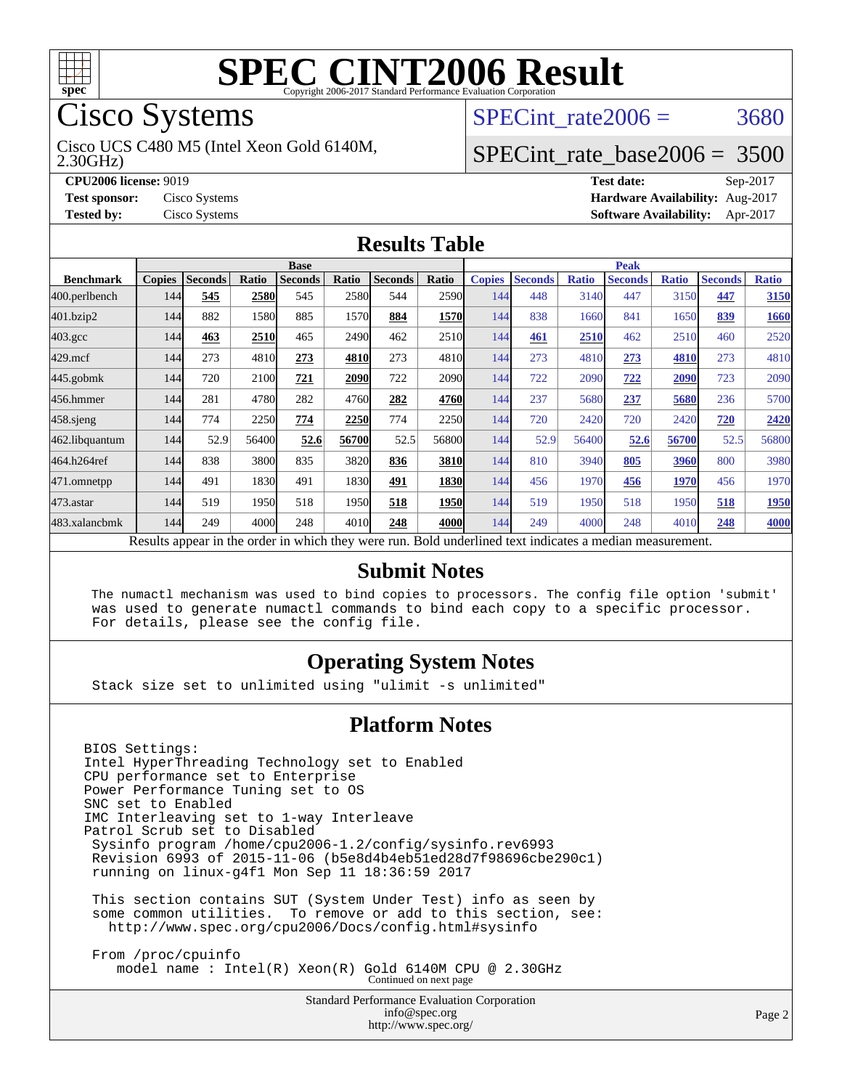

## Cisco Systems

2.30GHz) Cisco UCS C480 M5 (Intel Xeon Gold 6140M, SPECint rate $2006 = 3680$ 

## [SPECint\\_rate\\_base2006 =](http://www.spec.org/auto/cpu2006/Docs/result-fields.html#SPECintratebase2006) 3500

**[CPU2006 license:](http://www.spec.org/auto/cpu2006/Docs/result-fields.html#CPU2006license)** 9019 **[Test date:](http://www.spec.org/auto/cpu2006/Docs/result-fields.html#Testdate)** Sep-2017 **[Test sponsor:](http://www.spec.org/auto/cpu2006/Docs/result-fields.html#Testsponsor)** Cisco Systems **[Hardware Availability:](http://www.spec.org/auto/cpu2006/Docs/result-fields.html#HardwareAvailability)** Aug-2017 **[Tested by:](http://www.spec.org/auto/cpu2006/Docs/result-fields.html#Testedby)** Cisco Systems **[Software Availability:](http://www.spec.org/auto/cpu2006/Docs/result-fields.html#SoftwareAvailability)** Apr-2017

#### **[Results Table](http://www.spec.org/auto/cpu2006/Docs/result-fields.html#ResultsTable)**

|                                                                                                          | <b>Base</b>   |                |       |                |       |                | <b>Peak</b>   |               |                |              |                |              |                |              |
|----------------------------------------------------------------------------------------------------------|---------------|----------------|-------|----------------|-------|----------------|---------------|---------------|----------------|--------------|----------------|--------------|----------------|--------------|
| <b>Benchmark</b>                                                                                         | <b>Copies</b> | <b>Seconds</b> | Ratio | <b>Seconds</b> | Ratio | <b>Seconds</b> | Ratio         | <b>Copies</b> | <b>Seconds</b> | <b>Ratio</b> | <b>Seconds</b> | <b>Ratio</b> | <b>Seconds</b> | <b>Ratio</b> |
| 400.perlbench                                                                                            | 144           | 545            | 2580  | 545            | 2580  | 544            | 2590          | 144           | 448            | 3140         | 447            | 3150         | 447            | 3150         |
| 401.bzip2                                                                                                | 144           | 882            | 1580  | 885            | 1570  | 884            | 1570          | 144           | 838            | 1660         | 841            | 1650         | 839            | 1660         |
| $403.\mathrm{gcc}$                                                                                       | 144           | 463            | 2510  | 465            | 2490  | 462            | 2510          | 144           | 461            | 2510         | 462            | 2510         | 460            | 2520         |
| $429$ .mcf                                                                                               | 144           | 273            | 4810  | 273            | 4810  | 273            | 4810 <b>1</b> | 144           | 273            | 4810         | 273            | 4810         | 273            | 4810         |
| $445$ .gobmk                                                                                             | 144           | 720            | 2100  | 721            | 2090  | 722            | 2090          | 144           | 722            | 2090         | 722            | 2090         | 723            | 2090         |
| 456.hmmer                                                                                                | 144           | 281            | 4780  | 282            | 4760  | 282            | 4760          | 144           | 237            | 5680         | 237            | 5680         | 236            | 5700         |
| $458$ .sjeng                                                                                             | 144           | 774            | 2250  | 774            | 2250  | 774            | 2250          | 144           | 720            | 2420         | 720            | 2420         | 720            | 2420         |
| 462.libquantum                                                                                           | 144           | 52.9           | 56400 | 52.6           | 56700 | 52.5           | 56800         | 144           | 52.9           | 56400        | 52.6           | 56700        | 52.5           | 56800        |
| 464.h264ref                                                                                              | 144           | 838            | 3800  | 835            | 3820  | 836            | 3810          | 144           | 810            | 3940         | 805            | 3960         | 800            | 3980         |
| 471.omnetpp                                                                                              | 144           | 491            | 1830  | 491            | 1830  | 491            | <b>1830</b>   | 144           | 456            | 1970         | 456            | 1970         | 456            | 1970         |
| 473.astar                                                                                                | 144           | 519            | 1950  | 518            | 1950  | 518            | <b>1950</b>   | 144           | 519            | 1950         | 518            | 1950         | 518            | 1950         |
| 483.xalancbmk                                                                                            | 144           | 249            | 4000  | 248            | 4010  | 248            | 4000          | 144           | 249            | 4000         | 248            | 4010         | 248            | 4000         |
| Results appear in the order in which they were run. Bold underlined text indicates a median measurement. |               |                |       |                |       |                |               |               |                |              |                |              |                |              |

#### **[Submit Notes](http://www.spec.org/auto/cpu2006/Docs/result-fields.html#SubmitNotes)**

 The numactl mechanism was used to bind copies to processors. The config file option 'submit' was used to generate numactl commands to bind each copy to a specific processor. For details, please see the config file.

#### **[Operating System Notes](http://www.spec.org/auto/cpu2006/Docs/result-fields.html#OperatingSystemNotes)**

Stack size set to unlimited using "ulimit -s unlimited"

#### **[Platform Notes](http://www.spec.org/auto/cpu2006/Docs/result-fields.html#PlatformNotes)**

BIOS Settings: Intel HyperThreading Technology set to Enabled CPU performance set to Enterprise Power Performance Tuning set to OS SNC set to Enabled IMC Interleaving set to 1-way Interleave Patrol Scrub set to Disabled Sysinfo program /home/cpu2006-1.2/config/sysinfo.rev6993 Revision 6993 of 2015-11-06 (b5e8d4b4eb51ed28d7f98696cbe290c1) running on linux-g4f1 Mon Sep 11 18:36:59 2017 This section contains SUT (System Under Test) info as seen by some common utilities. To remove or add to this section, see: <http://www.spec.org/cpu2006/Docs/config.html#sysinfo>

 From /proc/cpuinfo model name : Intel(R) Xeon(R) Gold 6140M CPU @ 2.30GHz Continued on next page

> Standard Performance Evaluation Corporation [info@spec.org](mailto:info@spec.org) <http://www.spec.org/>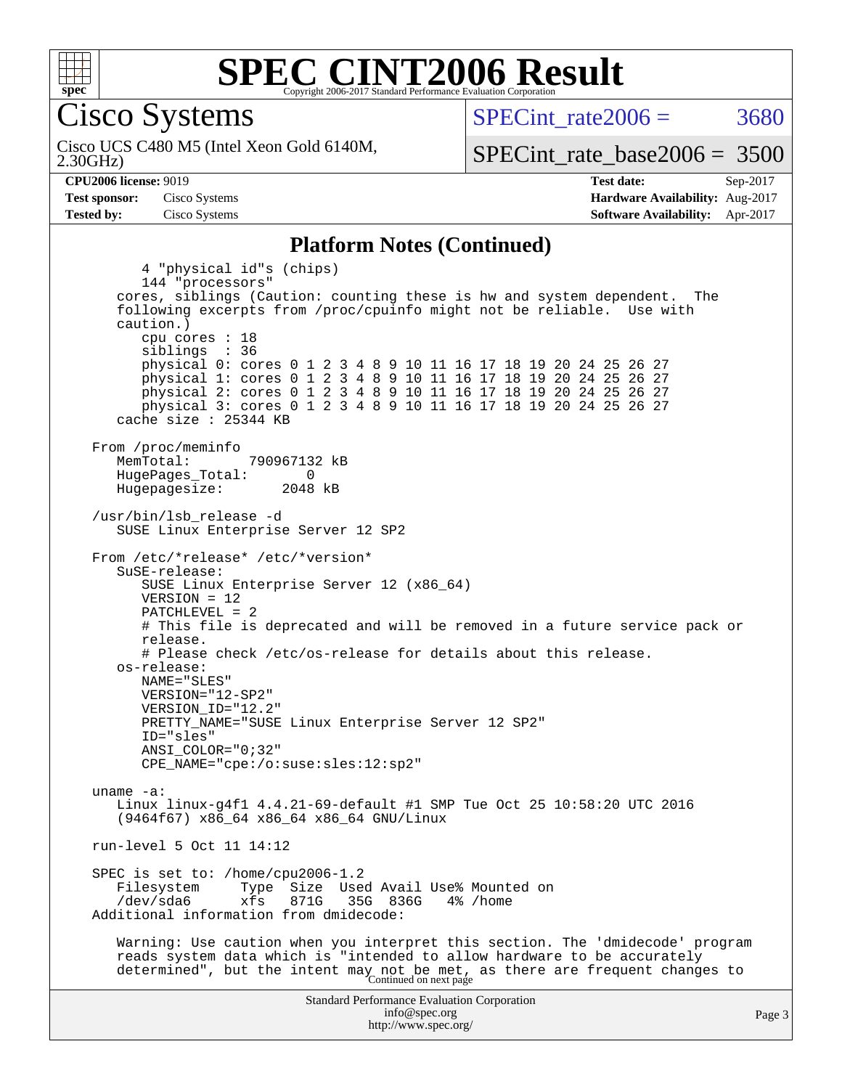

Cisco Systems

2.30GHz) Cisco UCS C480 M5 (Intel Xeon Gold 6140M, SPECint rate $2006 = 3680$ 

[SPECint\\_rate\\_base2006 =](http://www.spec.org/auto/cpu2006/Docs/result-fields.html#SPECintratebase2006) 3500

**[CPU2006 license:](http://www.spec.org/auto/cpu2006/Docs/result-fields.html#CPU2006license)** 9019 **[Test date:](http://www.spec.org/auto/cpu2006/Docs/result-fields.html#Testdate)** Sep-2017 **[Test sponsor:](http://www.spec.org/auto/cpu2006/Docs/result-fields.html#Testsponsor)** Cisco Systems **[Hardware Availability:](http://www.spec.org/auto/cpu2006/Docs/result-fields.html#HardwareAvailability)** Aug-2017 **[Tested by:](http://www.spec.org/auto/cpu2006/Docs/result-fields.html#Testedby)** Cisco Systems **[Software Availability:](http://www.spec.org/auto/cpu2006/Docs/result-fields.html#SoftwareAvailability)** Apr-2017

#### **[Platform Notes \(Continued\)](http://www.spec.org/auto/cpu2006/Docs/result-fields.html#PlatformNotes)**

Standard Performance Evaluation Corporation [info@spec.org](mailto:info@spec.org) 4 "physical id"s (chips) 144 "processors" cores, siblings (Caution: counting these is hw and system dependent. The following excerpts from /proc/cpuinfo might not be reliable. Use with caution.) cpu cores : 18 siblings : 36 physical 0: cores 0 1 2 3 4 8 9 10 11 16 17 18 19 20 24 25 26 27 physical 1: cores 0 1 2 3 4 8 9 10 11 16 17 18 19 20 24 25 26 27 physical 2: cores 0 1 2 3 4 8 9 10 11 16 17 18 19 20 24 25 26 27 physical 3: cores 0 1 2 3 4 8 9 10 11 16 17 18 19 20 24 25 26 27 cache size : 25344 KB From /proc/meminfo MemTotal: 790967132 kB HugePages\_Total: 0<br>Hugepagesize: 2048 kB Hugepagesize: /usr/bin/lsb\_release -d SUSE Linux Enterprise Server 12 SP2 From /etc/\*release\* /etc/\*version\* SuSE-release: SUSE Linux Enterprise Server 12 (x86\_64) VERSION = 12 PATCHLEVEL = 2 # This file is deprecated and will be removed in a future service pack or release. # Please check /etc/os-release for details about this release. os-release: NAME="SLES" VERSION="12-SP2" VERSION\_ID="12.2" PRETTY\_NAME="SUSE Linux Enterprise Server 12 SP2" ID="sles" ANSI\_COLOR="0;32" CPE\_NAME="cpe:/o:suse:sles:12:sp2" uname -a: Linux linux-g4f1 4.4.21-69-default #1 SMP Tue Oct 25 10:58:20 UTC 2016 (9464f67) x86\_64 x86\_64 x86\_64 GNU/Linux run-level 5 Oct 11 14:12 SPEC is set to: /home/cpu2006-1.2 Filesystem Type Size Used Avail Use% Mounted on<br>
/dev/sda6 xfs 871G 35G 836G 4% /home xfs 871G 35G 836G 4% /home Additional information from dmidecode: Warning: Use caution when you interpret this section. The 'dmidecode' program reads system data which is "intended to allow hardware to be accurately determined", but the intent may not be met, as there are frequent changes to<br>Continued on next page

<http://www.spec.org/>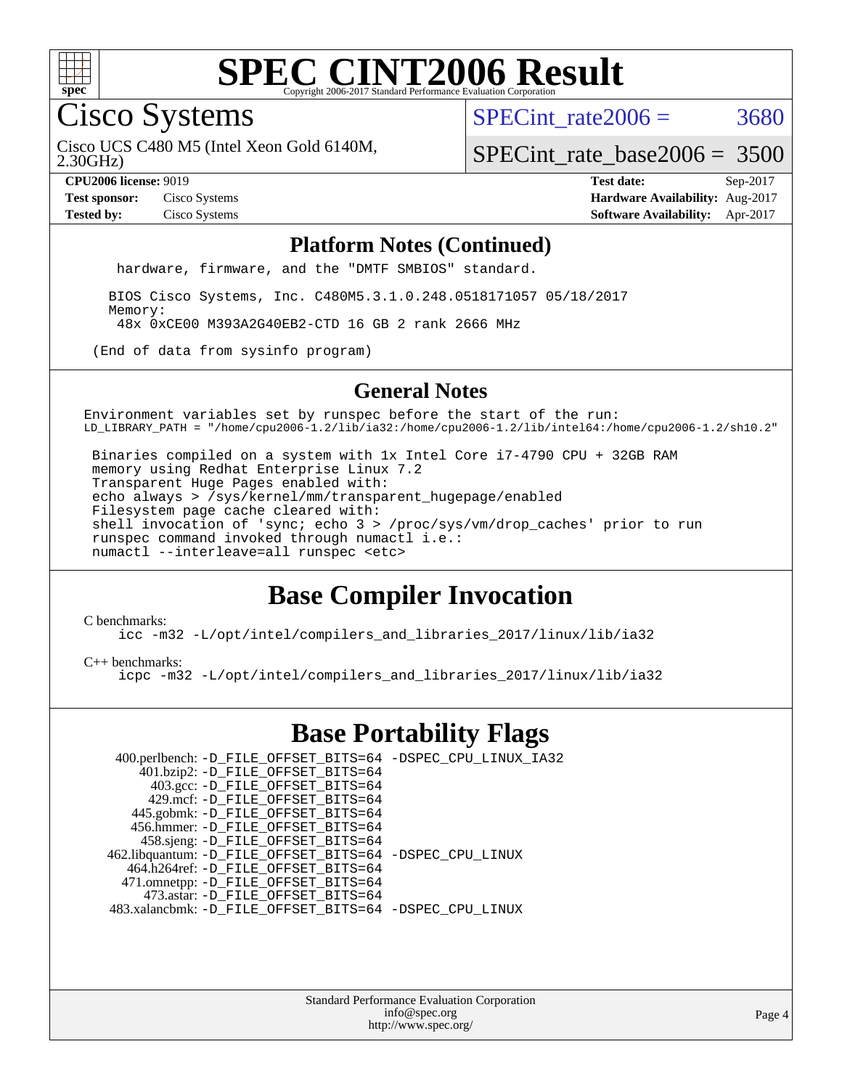

Cisco Systems

SPECint rate $2006 = 3680$ 

2.30GHz) Cisco UCS C480 M5 (Intel Xeon Gold 6140M,

[SPECint\\_rate\\_base2006 =](http://www.spec.org/auto/cpu2006/Docs/result-fields.html#SPECintratebase2006) 3500

**[CPU2006 license:](http://www.spec.org/auto/cpu2006/Docs/result-fields.html#CPU2006license)** 9019 **[Test date:](http://www.spec.org/auto/cpu2006/Docs/result-fields.html#Testdate)** Sep-2017 **[Test sponsor:](http://www.spec.org/auto/cpu2006/Docs/result-fields.html#Testsponsor)** Cisco Systems **[Hardware Availability:](http://www.spec.org/auto/cpu2006/Docs/result-fields.html#HardwareAvailability)** Aug-2017 **[Tested by:](http://www.spec.org/auto/cpu2006/Docs/result-fields.html#Testedby)** Cisco Systems **[Software Availability:](http://www.spec.org/auto/cpu2006/Docs/result-fields.html#SoftwareAvailability)** Apr-2017

#### **[Platform Notes \(Continued\)](http://www.spec.org/auto/cpu2006/Docs/result-fields.html#PlatformNotes)**

hardware, firmware, and the "DMTF SMBIOS" standard.

 BIOS Cisco Systems, Inc. C480M5.3.1.0.248.0518171057 05/18/2017 Memory: 48x 0xCE00 M393A2G40EB2-CTD 16 GB 2 rank 2666 MHz

(End of data from sysinfo program)

#### **[General Notes](http://www.spec.org/auto/cpu2006/Docs/result-fields.html#GeneralNotes)**

Environment variables set by runspec before the start of the run: LD\_LIBRARY\_PATH = "/home/cpu2006-1.2/lib/ia32:/home/cpu2006-1.2/lib/intel64:/home/cpu2006-1.2/sh10.2"

 Binaries compiled on a system with 1x Intel Core i7-4790 CPU + 32GB RAM memory using Redhat Enterprise Linux 7.2 Transparent Huge Pages enabled with: echo always > /sys/kernel/mm/transparent\_hugepage/enabled Filesystem page cache cleared with: shell invocation of 'sync; echo 3 > /proc/sys/vm/drop\_caches' prior to run runspec command invoked through numactl i.e.: numactl --interleave=all runspec <etc>

## **[Base Compiler Invocation](http://www.spec.org/auto/cpu2006/Docs/result-fields.html#BaseCompilerInvocation)**

[C benchmarks](http://www.spec.org/auto/cpu2006/Docs/result-fields.html#Cbenchmarks):

[icc -m32 -L/opt/intel/compilers\\_and\\_libraries\\_2017/linux/lib/ia32](http://www.spec.org/cpu2006/results/res2017q4/cpu2006-20170919-50155.flags.html#user_CCbase_intel_icc_c29f3ff5a7ed067b11e4ec10a03f03ae)

[C++ benchmarks:](http://www.spec.org/auto/cpu2006/Docs/result-fields.html#CXXbenchmarks)

[icpc -m32 -L/opt/intel/compilers\\_and\\_libraries\\_2017/linux/lib/ia32](http://www.spec.org/cpu2006/results/res2017q4/cpu2006-20170919-50155.flags.html#user_CXXbase_intel_icpc_8c35c7808b62dab9ae41a1aa06361b6b)

### **[Base Portability Flags](http://www.spec.org/auto/cpu2006/Docs/result-fields.html#BasePortabilityFlags)**

| 400.perlbench: -D_FILE_OFFSET_BITS=64 -DSPEC_CPU_LINUX_IA32 |  |
|-------------------------------------------------------------|--|
| 401.bzip2: -D_FILE_OFFSET_BITS=64                           |  |
| 403.gcc: -D_FILE_OFFSET_BITS=64                             |  |
| 429.mcf: -D FILE OFFSET BITS=64                             |  |
| 445.gobmk: -D_FILE_OFFSET_BITS=64                           |  |
| 456.hmmer: -D FILE OFFSET BITS=64                           |  |
| 458.sjeng: -D_FILE_OFFSET_BITS=64                           |  |
| 462.libquantum: -D_FILE_OFFSET_BITS=64 -DSPEC_CPU_LINUX     |  |
| 464.h264ref: -D_FILE_OFFSET_BITS=64                         |  |
| 471.omnetpp: -D_FILE_OFFSET_BITS=64                         |  |
| 473.astar: -D FILE OFFSET BITS=64                           |  |
| 483.xalancbmk: -D FILE OFFSET BITS=64 -DSPEC CPU LINUX      |  |

Standard Performance Evaluation Corporation [info@spec.org](mailto:info@spec.org) <http://www.spec.org/>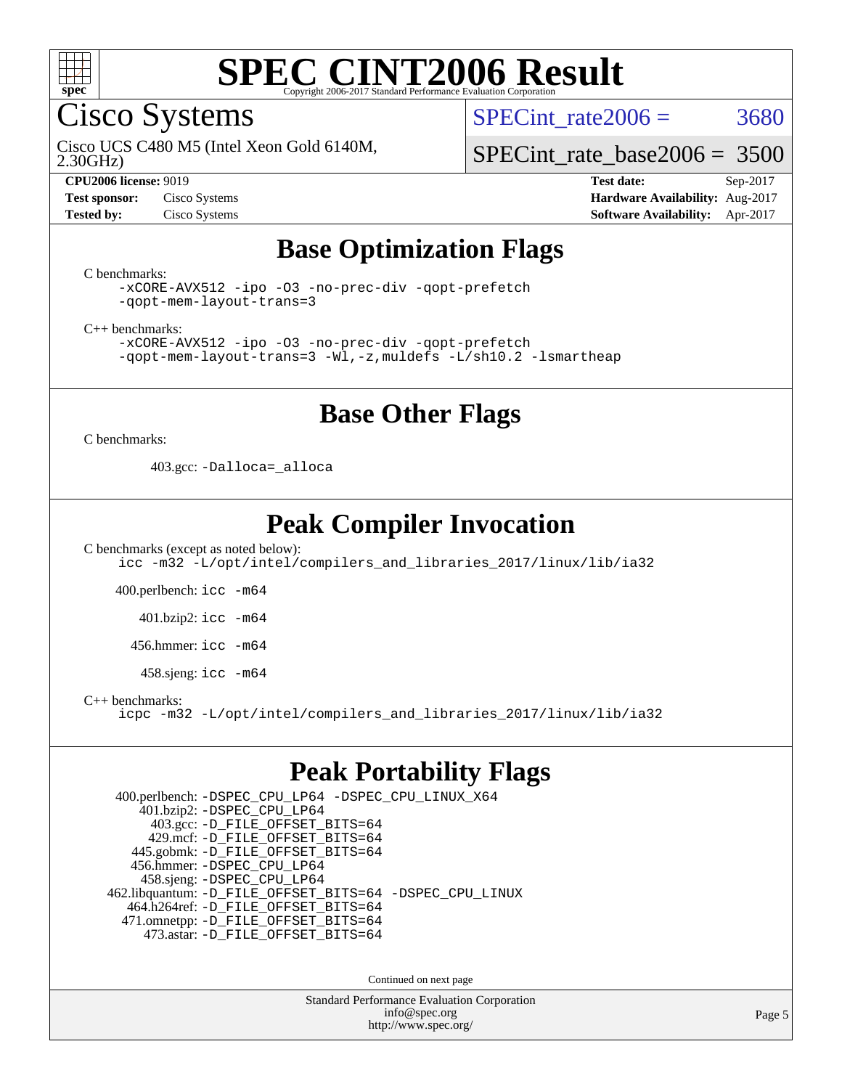

Cisco Systems

SPECint rate $2006 = 3680$ 

2.30GHz) Cisco UCS C480 M5 (Intel Xeon Gold 6140M,

[SPECint\\_rate\\_base2006 =](http://www.spec.org/auto/cpu2006/Docs/result-fields.html#SPECintratebase2006) 3500

**[CPU2006 license:](http://www.spec.org/auto/cpu2006/Docs/result-fields.html#CPU2006license)** 9019 **[Test date:](http://www.spec.org/auto/cpu2006/Docs/result-fields.html#Testdate)** Sep-2017 **[Test sponsor:](http://www.spec.org/auto/cpu2006/Docs/result-fields.html#Testsponsor)** Cisco Systems **[Hardware Availability:](http://www.spec.org/auto/cpu2006/Docs/result-fields.html#HardwareAvailability)** Aug-2017 **[Tested by:](http://www.spec.org/auto/cpu2006/Docs/result-fields.html#Testedby)** Cisco Systems **[Software Availability:](http://www.spec.org/auto/cpu2006/Docs/result-fields.html#SoftwareAvailability)** Apr-2017

## **[Base Optimization Flags](http://www.spec.org/auto/cpu2006/Docs/result-fields.html#BaseOptimizationFlags)**

[C benchmarks](http://www.spec.org/auto/cpu2006/Docs/result-fields.html#Cbenchmarks):

[-xCORE-AVX512](http://www.spec.org/cpu2006/results/res2017q4/cpu2006-20170919-50155.flags.html#user_CCbase_f-xCORE-AVX512) [-ipo](http://www.spec.org/cpu2006/results/res2017q4/cpu2006-20170919-50155.flags.html#user_CCbase_f-ipo) [-O3](http://www.spec.org/cpu2006/results/res2017q4/cpu2006-20170919-50155.flags.html#user_CCbase_f-O3) [-no-prec-div](http://www.spec.org/cpu2006/results/res2017q4/cpu2006-20170919-50155.flags.html#user_CCbase_f-no-prec-div) [-qopt-prefetch](http://www.spec.org/cpu2006/results/res2017q4/cpu2006-20170919-50155.flags.html#user_CCbase_f-qopt-prefetch) [-qopt-mem-layout-trans=3](http://www.spec.org/cpu2006/results/res2017q4/cpu2006-20170919-50155.flags.html#user_CCbase_f-qopt-mem-layout-trans_170f5be61cd2cedc9b54468c59262d5d)

[C++ benchmarks:](http://www.spec.org/auto/cpu2006/Docs/result-fields.html#CXXbenchmarks)

[-xCORE-AVX512](http://www.spec.org/cpu2006/results/res2017q4/cpu2006-20170919-50155.flags.html#user_CXXbase_f-xCORE-AVX512) [-ipo](http://www.spec.org/cpu2006/results/res2017q4/cpu2006-20170919-50155.flags.html#user_CXXbase_f-ipo) [-O3](http://www.spec.org/cpu2006/results/res2017q4/cpu2006-20170919-50155.flags.html#user_CXXbase_f-O3) [-no-prec-div](http://www.spec.org/cpu2006/results/res2017q4/cpu2006-20170919-50155.flags.html#user_CXXbase_f-no-prec-div) [-qopt-prefetch](http://www.spec.org/cpu2006/results/res2017q4/cpu2006-20170919-50155.flags.html#user_CXXbase_f-qopt-prefetch) [-qopt-mem-layout-trans=3](http://www.spec.org/cpu2006/results/res2017q4/cpu2006-20170919-50155.flags.html#user_CXXbase_f-qopt-mem-layout-trans_170f5be61cd2cedc9b54468c59262d5d) [-Wl,-z,muldefs](http://www.spec.org/cpu2006/results/res2017q4/cpu2006-20170919-50155.flags.html#user_CXXbase_link_force_multiple1_74079c344b956b9658436fd1b6dd3a8a) [-L/sh10.2 -lsmartheap](http://www.spec.org/cpu2006/results/res2017q4/cpu2006-20170919-50155.flags.html#user_CXXbase_SmartHeap_b831f2d313e2fffa6dfe3f00ffc1f1c0)

### **[Base Other Flags](http://www.spec.org/auto/cpu2006/Docs/result-fields.html#BaseOtherFlags)**

[C benchmarks](http://www.spec.org/auto/cpu2006/Docs/result-fields.html#Cbenchmarks):

403.gcc: [-Dalloca=\\_alloca](http://www.spec.org/cpu2006/results/res2017q4/cpu2006-20170919-50155.flags.html#b403.gcc_baseEXTRA_CFLAGS_Dalloca_be3056838c12de2578596ca5467af7f3)

## **[Peak Compiler Invocation](http://www.spec.org/auto/cpu2006/Docs/result-fields.html#PeakCompilerInvocation)**

[C benchmarks \(except as noted below\)](http://www.spec.org/auto/cpu2006/Docs/result-fields.html#Cbenchmarksexceptasnotedbelow): [icc -m32 -L/opt/intel/compilers\\_and\\_libraries\\_2017/linux/lib/ia32](http://www.spec.org/cpu2006/results/res2017q4/cpu2006-20170919-50155.flags.html#user_CCpeak_intel_icc_c29f3ff5a7ed067b11e4ec10a03f03ae)

400.perlbench: [icc -m64](http://www.spec.org/cpu2006/results/res2017q4/cpu2006-20170919-50155.flags.html#user_peakCCLD400_perlbench_intel_icc_64bit_bda6cc9af1fdbb0edc3795bac97ada53)

401.bzip2: [icc -m64](http://www.spec.org/cpu2006/results/res2017q4/cpu2006-20170919-50155.flags.html#user_peakCCLD401_bzip2_intel_icc_64bit_bda6cc9af1fdbb0edc3795bac97ada53)

456.hmmer: [icc -m64](http://www.spec.org/cpu2006/results/res2017q4/cpu2006-20170919-50155.flags.html#user_peakCCLD456_hmmer_intel_icc_64bit_bda6cc9af1fdbb0edc3795bac97ada53)

458.sjeng: [icc -m64](http://www.spec.org/cpu2006/results/res2017q4/cpu2006-20170919-50155.flags.html#user_peakCCLD458_sjeng_intel_icc_64bit_bda6cc9af1fdbb0edc3795bac97ada53)

[C++ benchmarks:](http://www.spec.org/auto/cpu2006/Docs/result-fields.html#CXXbenchmarks)

[icpc -m32 -L/opt/intel/compilers\\_and\\_libraries\\_2017/linux/lib/ia32](http://www.spec.org/cpu2006/results/res2017q4/cpu2006-20170919-50155.flags.html#user_CXXpeak_intel_icpc_8c35c7808b62dab9ae41a1aa06361b6b)

### **[Peak Portability Flags](http://www.spec.org/auto/cpu2006/Docs/result-fields.html#PeakPortabilityFlags)**

 400.perlbench: [-DSPEC\\_CPU\\_LP64](http://www.spec.org/cpu2006/results/res2017q4/cpu2006-20170919-50155.flags.html#b400.perlbench_peakCPORTABILITY_DSPEC_CPU_LP64) [-DSPEC\\_CPU\\_LINUX\\_X64](http://www.spec.org/cpu2006/results/res2017q4/cpu2006-20170919-50155.flags.html#b400.perlbench_peakCPORTABILITY_DSPEC_CPU_LINUX_X64) 401.bzip2: [-DSPEC\\_CPU\\_LP64](http://www.spec.org/cpu2006/results/res2017q4/cpu2006-20170919-50155.flags.html#suite_peakCPORTABILITY401_bzip2_DSPEC_CPU_LP64) 403.gcc: [-D\\_FILE\\_OFFSET\\_BITS=64](http://www.spec.org/cpu2006/results/res2017q4/cpu2006-20170919-50155.flags.html#user_peakPORTABILITY403_gcc_file_offset_bits_64_438cf9856305ebd76870a2c6dc2689ab) 429.mcf: [-D\\_FILE\\_OFFSET\\_BITS=64](http://www.spec.org/cpu2006/results/res2017q4/cpu2006-20170919-50155.flags.html#user_peakPORTABILITY429_mcf_file_offset_bits_64_438cf9856305ebd76870a2c6dc2689ab) 445.gobmk: [-D\\_FILE\\_OFFSET\\_BITS=64](http://www.spec.org/cpu2006/results/res2017q4/cpu2006-20170919-50155.flags.html#user_peakPORTABILITY445_gobmk_file_offset_bits_64_438cf9856305ebd76870a2c6dc2689ab) 456.hmmer: [-DSPEC\\_CPU\\_LP64](http://www.spec.org/cpu2006/results/res2017q4/cpu2006-20170919-50155.flags.html#suite_peakCPORTABILITY456_hmmer_DSPEC_CPU_LP64) 458.sjeng: [-DSPEC\\_CPU\\_LP64](http://www.spec.org/cpu2006/results/res2017q4/cpu2006-20170919-50155.flags.html#suite_peakCPORTABILITY458_sjeng_DSPEC_CPU_LP64) 462.libquantum: [-D\\_FILE\\_OFFSET\\_BITS=64](http://www.spec.org/cpu2006/results/res2017q4/cpu2006-20170919-50155.flags.html#user_peakPORTABILITY462_libquantum_file_offset_bits_64_438cf9856305ebd76870a2c6dc2689ab) [-DSPEC\\_CPU\\_LINUX](http://www.spec.org/cpu2006/results/res2017q4/cpu2006-20170919-50155.flags.html#b462.libquantum_peakCPORTABILITY_DSPEC_CPU_LINUX) 464.h264ref: [-D\\_FILE\\_OFFSET\\_BITS=64](http://www.spec.org/cpu2006/results/res2017q4/cpu2006-20170919-50155.flags.html#user_peakPORTABILITY464_h264ref_file_offset_bits_64_438cf9856305ebd76870a2c6dc2689ab) 471.omnetpp: [-D\\_FILE\\_OFFSET\\_BITS=64](http://www.spec.org/cpu2006/results/res2017q4/cpu2006-20170919-50155.flags.html#user_peakPORTABILITY471_omnetpp_file_offset_bits_64_438cf9856305ebd76870a2c6dc2689ab) 473.astar: [-D\\_FILE\\_OFFSET\\_BITS=64](http://www.spec.org/cpu2006/results/res2017q4/cpu2006-20170919-50155.flags.html#user_peakPORTABILITY473_astar_file_offset_bits_64_438cf9856305ebd76870a2c6dc2689ab)

Continued on next page

Standard Performance Evaluation Corporation [info@spec.org](mailto:info@spec.org) <http://www.spec.org/>

Page 5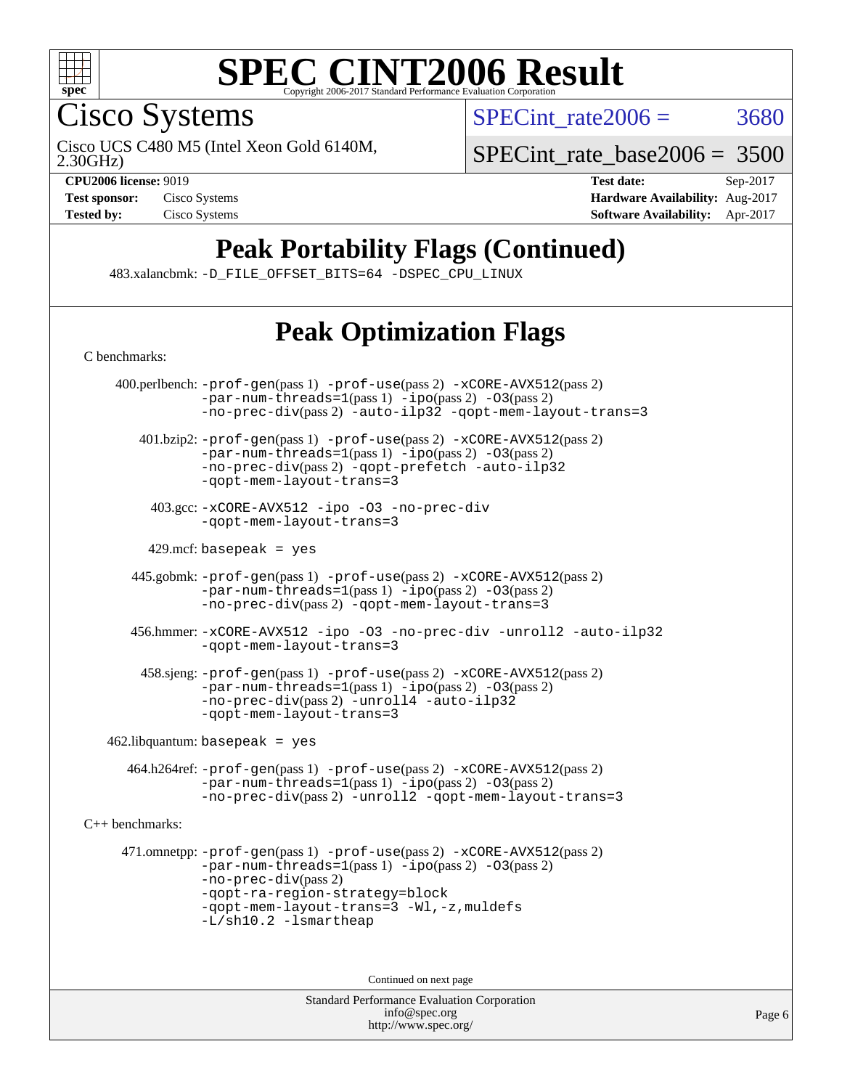

Cisco Systems

SPECint rate $2006 = 3680$ 

2.30GHz) Cisco UCS C480 M5 (Intel Xeon Gold 6140M,

[SPECint\\_rate\\_base2006 =](http://www.spec.org/auto/cpu2006/Docs/result-fields.html#SPECintratebase2006) 3500

**[CPU2006 license:](http://www.spec.org/auto/cpu2006/Docs/result-fields.html#CPU2006license)** 9019 **[Test date:](http://www.spec.org/auto/cpu2006/Docs/result-fields.html#Testdate)** Sep-2017 **[Test sponsor:](http://www.spec.org/auto/cpu2006/Docs/result-fields.html#Testsponsor)** Cisco Systems **[Hardware Availability:](http://www.spec.org/auto/cpu2006/Docs/result-fields.html#HardwareAvailability)** Aug-2017 **[Tested by:](http://www.spec.org/auto/cpu2006/Docs/result-fields.html#Testedby)** Cisco Systems **[Software Availability:](http://www.spec.org/auto/cpu2006/Docs/result-fields.html#SoftwareAvailability)** Apr-2017

## **[Peak Portability Flags \(Continued\)](http://www.spec.org/auto/cpu2006/Docs/result-fields.html#PeakPortabilityFlags)**

483.xalancbmk: [-D\\_FILE\\_OFFSET\\_BITS=64](http://www.spec.org/cpu2006/results/res2017q4/cpu2006-20170919-50155.flags.html#user_peakPORTABILITY483_xalancbmk_file_offset_bits_64_438cf9856305ebd76870a2c6dc2689ab) [-DSPEC\\_CPU\\_LINUX](http://www.spec.org/cpu2006/results/res2017q4/cpu2006-20170919-50155.flags.html#b483.xalancbmk_peakCXXPORTABILITY_DSPEC_CPU_LINUX)

## **[Peak Optimization Flags](http://www.spec.org/auto/cpu2006/Docs/result-fields.html#PeakOptimizationFlags)**

Standard Performance Evaluation Corporation [C benchmarks](http://www.spec.org/auto/cpu2006/Docs/result-fields.html#Cbenchmarks): 400.perlbench: [-prof-gen](http://www.spec.org/cpu2006/results/res2017q4/cpu2006-20170919-50155.flags.html#user_peakPASS1_CFLAGSPASS1_LDCFLAGS400_perlbench_prof_gen_e43856698f6ca7b7e442dfd80e94a8fc)(pass 1) [-prof-use](http://www.spec.org/cpu2006/results/res2017q4/cpu2006-20170919-50155.flags.html#user_peakPASS2_CFLAGSPASS2_LDCFLAGS400_perlbench_prof_use_bccf7792157ff70d64e32fe3e1250b55)(pass 2) [-xCORE-AVX512](http://www.spec.org/cpu2006/results/res2017q4/cpu2006-20170919-50155.flags.html#user_peakPASS2_CFLAGSPASS2_LDCFLAGS400_perlbench_f-xCORE-AVX512)(pass 2)  $-par-num-threads=1(pass 1) -ipo(pass 2) -O3(pass 2)$  $-par-num-threads=1(pass 1) -ipo(pass 2) -O3(pass 2)$  $-par-num-threads=1(pass 1) -ipo(pass 2) -O3(pass 2)$  $-par-num-threads=1(pass 1) -ipo(pass 2) -O3(pass 2)$  $-par-num-threads=1(pass 1) -ipo(pass 2) -O3(pass 2)$  $-par-num-threads=1(pass 1) -ipo(pass 2) -O3(pass 2)$ [-no-prec-div](http://www.spec.org/cpu2006/results/res2017q4/cpu2006-20170919-50155.flags.html#user_peakPASS2_CFLAGSPASS2_LDCFLAGS400_perlbench_f-no-prec-div)(pass 2) [-auto-ilp32](http://www.spec.org/cpu2006/results/res2017q4/cpu2006-20170919-50155.flags.html#user_peakCOPTIMIZE400_perlbench_f-auto-ilp32) [-qopt-mem-layout-trans=3](http://www.spec.org/cpu2006/results/res2017q4/cpu2006-20170919-50155.flags.html#user_peakCOPTIMIZE400_perlbench_f-qopt-mem-layout-trans_170f5be61cd2cedc9b54468c59262d5d) 401.bzip2: [-prof-gen](http://www.spec.org/cpu2006/results/res2017q4/cpu2006-20170919-50155.flags.html#user_peakPASS1_CFLAGSPASS1_LDCFLAGS401_bzip2_prof_gen_e43856698f6ca7b7e442dfd80e94a8fc)(pass 1) [-prof-use](http://www.spec.org/cpu2006/results/res2017q4/cpu2006-20170919-50155.flags.html#user_peakPASS2_CFLAGSPASS2_LDCFLAGS401_bzip2_prof_use_bccf7792157ff70d64e32fe3e1250b55)(pass 2) [-xCORE-AVX512](http://www.spec.org/cpu2006/results/res2017q4/cpu2006-20170919-50155.flags.html#user_peakPASS2_CFLAGSPASS2_LDCFLAGS401_bzip2_f-xCORE-AVX512)(pass 2) [-par-num-threads=1](http://www.spec.org/cpu2006/results/res2017q4/cpu2006-20170919-50155.flags.html#user_peakPASS1_CFLAGSPASS1_LDCFLAGS401_bzip2_par_num_threads_786a6ff141b4e9e90432e998842df6c2)(pass 1) [-ipo](http://www.spec.org/cpu2006/results/res2017q4/cpu2006-20170919-50155.flags.html#user_peakPASS2_CFLAGSPASS2_LDCFLAGS401_bzip2_f-ipo)(pass 2) [-O3](http://www.spec.org/cpu2006/results/res2017q4/cpu2006-20170919-50155.flags.html#user_peakPASS2_CFLAGSPASS2_LDCFLAGS401_bzip2_f-O3)(pass 2) [-no-prec-div](http://www.spec.org/cpu2006/results/res2017q4/cpu2006-20170919-50155.flags.html#user_peakPASS2_CFLAGSPASS2_LDCFLAGS401_bzip2_f-no-prec-div)(pass 2) [-qopt-prefetch](http://www.spec.org/cpu2006/results/res2017q4/cpu2006-20170919-50155.flags.html#user_peakCOPTIMIZE401_bzip2_f-qopt-prefetch) [-auto-ilp32](http://www.spec.org/cpu2006/results/res2017q4/cpu2006-20170919-50155.flags.html#user_peakCOPTIMIZE401_bzip2_f-auto-ilp32) [-qopt-mem-layout-trans=3](http://www.spec.org/cpu2006/results/res2017q4/cpu2006-20170919-50155.flags.html#user_peakCOPTIMIZE401_bzip2_f-qopt-mem-layout-trans_170f5be61cd2cedc9b54468c59262d5d) 403.gcc: [-xCORE-AVX512](http://www.spec.org/cpu2006/results/res2017q4/cpu2006-20170919-50155.flags.html#user_peakOPTIMIZE403_gcc_f-xCORE-AVX512) [-ipo](http://www.spec.org/cpu2006/results/res2017q4/cpu2006-20170919-50155.flags.html#user_peakOPTIMIZE403_gcc_f-ipo) [-O3](http://www.spec.org/cpu2006/results/res2017q4/cpu2006-20170919-50155.flags.html#user_peakOPTIMIZE403_gcc_f-O3) [-no-prec-div](http://www.spec.org/cpu2006/results/res2017q4/cpu2006-20170919-50155.flags.html#user_peakOPTIMIZE403_gcc_f-no-prec-div) [-qopt-mem-layout-trans=3](http://www.spec.org/cpu2006/results/res2017q4/cpu2006-20170919-50155.flags.html#user_peakCOPTIMIZE403_gcc_f-qopt-mem-layout-trans_170f5be61cd2cedc9b54468c59262d5d)  $429$ .mcf: basepeak = yes 445.gobmk: [-prof-gen](http://www.spec.org/cpu2006/results/res2017q4/cpu2006-20170919-50155.flags.html#user_peakPASS1_CFLAGSPASS1_LDCFLAGS445_gobmk_prof_gen_e43856698f6ca7b7e442dfd80e94a8fc)(pass 1) [-prof-use](http://www.spec.org/cpu2006/results/res2017q4/cpu2006-20170919-50155.flags.html#user_peakPASS2_CFLAGSPASS2_LDCFLAGSPASS2_LDFLAGS445_gobmk_prof_use_bccf7792157ff70d64e32fe3e1250b55)(pass 2) [-xCORE-AVX512](http://www.spec.org/cpu2006/results/res2017q4/cpu2006-20170919-50155.flags.html#user_peakPASS2_CFLAGSPASS2_LDCFLAGSPASS2_LDFLAGS445_gobmk_f-xCORE-AVX512)(pass 2)  $-par-num-threads=1(pass 1) -ipo(pass 2) -O3(pass 2)$  $-par-num-threads=1(pass 1) -ipo(pass 2) -O3(pass 2)$  $-par-num-threads=1(pass 1) -ipo(pass 2) -O3(pass 2)$  $-par-num-threads=1(pass 1) -ipo(pass 2) -O3(pass 2)$  $-par-num-threads=1(pass 1) -ipo(pass 2) -O3(pass 2)$  $-par-num-threads=1(pass 1) -ipo(pass 2) -O3(pass 2)$ [-no-prec-div](http://www.spec.org/cpu2006/results/res2017q4/cpu2006-20170919-50155.flags.html#user_peakPASS2_LDCFLAGS445_gobmk_f-no-prec-div)(pass 2) [-qopt-mem-layout-trans=3](http://www.spec.org/cpu2006/results/res2017q4/cpu2006-20170919-50155.flags.html#user_peakCOPTIMIZE445_gobmk_f-qopt-mem-layout-trans_170f5be61cd2cedc9b54468c59262d5d) 456.hmmer: [-xCORE-AVX512](http://www.spec.org/cpu2006/results/res2017q4/cpu2006-20170919-50155.flags.html#user_peakOPTIMIZE456_hmmer_f-xCORE-AVX512) [-ipo](http://www.spec.org/cpu2006/results/res2017q4/cpu2006-20170919-50155.flags.html#user_peakOPTIMIZE456_hmmer_f-ipo) [-O3](http://www.spec.org/cpu2006/results/res2017q4/cpu2006-20170919-50155.flags.html#user_peakOPTIMIZE456_hmmer_f-O3) [-no-prec-div](http://www.spec.org/cpu2006/results/res2017q4/cpu2006-20170919-50155.flags.html#user_peakOPTIMIZE456_hmmer_f-no-prec-div) [-unroll2](http://www.spec.org/cpu2006/results/res2017q4/cpu2006-20170919-50155.flags.html#user_peakCOPTIMIZE456_hmmer_f-unroll_784dae83bebfb236979b41d2422d7ec2) [-auto-ilp32](http://www.spec.org/cpu2006/results/res2017q4/cpu2006-20170919-50155.flags.html#user_peakCOPTIMIZE456_hmmer_f-auto-ilp32) [-qopt-mem-layout-trans=3](http://www.spec.org/cpu2006/results/res2017q4/cpu2006-20170919-50155.flags.html#user_peakCOPTIMIZE456_hmmer_f-qopt-mem-layout-trans_170f5be61cd2cedc9b54468c59262d5d) 458.sjeng: [-prof-gen](http://www.spec.org/cpu2006/results/res2017q4/cpu2006-20170919-50155.flags.html#user_peakPASS1_CFLAGSPASS1_LDCFLAGS458_sjeng_prof_gen_e43856698f6ca7b7e442dfd80e94a8fc)(pass 1) [-prof-use](http://www.spec.org/cpu2006/results/res2017q4/cpu2006-20170919-50155.flags.html#user_peakPASS2_CFLAGSPASS2_LDCFLAGS458_sjeng_prof_use_bccf7792157ff70d64e32fe3e1250b55)(pass 2) [-xCORE-AVX512](http://www.spec.org/cpu2006/results/res2017q4/cpu2006-20170919-50155.flags.html#user_peakPASS2_CFLAGSPASS2_LDCFLAGS458_sjeng_f-xCORE-AVX512)(pass 2) [-par-num-threads=1](http://www.spec.org/cpu2006/results/res2017q4/cpu2006-20170919-50155.flags.html#user_peakPASS1_CFLAGSPASS1_LDCFLAGS458_sjeng_par_num_threads_786a6ff141b4e9e90432e998842df6c2)(pass 1) [-ipo](http://www.spec.org/cpu2006/results/res2017q4/cpu2006-20170919-50155.flags.html#user_peakPASS2_CFLAGSPASS2_LDCFLAGS458_sjeng_f-ipo)(pass 2) [-O3](http://www.spec.org/cpu2006/results/res2017q4/cpu2006-20170919-50155.flags.html#user_peakPASS2_CFLAGSPASS2_LDCFLAGS458_sjeng_f-O3)(pass 2) [-no-prec-div](http://www.spec.org/cpu2006/results/res2017q4/cpu2006-20170919-50155.flags.html#user_peakPASS2_CFLAGSPASS2_LDCFLAGS458_sjeng_f-no-prec-div)(pass 2) [-unroll4](http://www.spec.org/cpu2006/results/res2017q4/cpu2006-20170919-50155.flags.html#user_peakCOPTIMIZE458_sjeng_f-unroll_4e5e4ed65b7fd20bdcd365bec371b81f) [-auto-ilp32](http://www.spec.org/cpu2006/results/res2017q4/cpu2006-20170919-50155.flags.html#user_peakCOPTIMIZE458_sjeng_f-auto-ilp32) [-qopt-mem-layout-trans=3](http://www.spec.org/cpu2006/results/res2017q4/cpu2006-20170919-50155.flags.html#user_peakCOPTIMIZE458_sjeng_f-qopt-mem-layout-trans_170f5be61cd2cedc9b54468c59262d5d)  $462$ .libquantum: basepeak = yes 464.h264ref: [-prof-gen](http://www.spec.org/cpu2006/results/res2017q4/cpu2006-20170919-50155.flags.html#user_peakPASS1_CFLAGSPASS1_LDCFLAGS464_h264ref_prof_gen_e43856698f6ca7b7e442dfd80e94a8fc)(pass 1) [-prof-use](http://www.spec.org/cpu2006/results/res2017q4/cpu2006-20170919-50155.flags.html#user_peakPASS2_CFLAGSPASS2_LDCFLAGS464_h264ref_prof_use_bccf7792157ff70d64e32fe3e1250b55)(pass 2) [-xCORE-AVX512](http://www.spec.org/cpu2006/results/res2017q4/cpu2006-20170919-50155.flags.html#user_peakPASS2_CFLAGSPASS2_LDCFLAGS464_h264ref_f-xCORE-AVX512)(pass 2) [-par-num-threads=1](http://www.spec.org/cpu2006/results/res2017q4/cpu2006-20170919-50155.flags.html#user_peakPASS1_CFLAGSPASS1_LDCFLAGS464_h264ref_par_num_threads_786a6ff141b4e9e90432e998842df6c2)(pass 1) [-ipo](http://www.spec.org/cpu2006/results/res2017q4/cpu2006-20170919-50155.flags.html#user_peakPASS2_CFLAGSPASS2_LDCFLAGS464_h264ref_f-ipo)(pass 2) [-O3](http://www.spec.org/cpu2006/results/res2017q4/cpu2006-20170919-50155.flags.html#user_peakPASS2_CFLAGSPASS2_LDCFLAGS464_h264ref_f-O3)(pass 2) [-no-prec-div](http://www.spec.org/cpu2006/results/res2017q4/cpu2006-20170919-50155.flags.html#user_peakPASS2_CFLAGSPASS2_LDCFLAGS464_h264ref_f-no-prec-div)(pass 2) [-unroll2](http://www.spec.org/cpu2006/results/res2017q4/cpu2006-20170919-50155.flags.html#user_peakCOPTIMIZE464_h264ref_f-unroll_784dae83bebfb236979b41d2422d7ec2) [-qopt-mem-layout-trans=3](http://www.spec.org/cpu2006/results/res2017q4/cpu2006-20170919-50155.flags.html#user_peakCOPTIMIZE464_h264ref_f-qopt-mem-layout-trans_170f5be61cd2cedc9b54468c59262d5d) [C++ benchmarks:](http://www.spec.org/auto/cpu2006/Docs/result-fields.html#CXXbenchmarks) 471.omnetpp: [-prof-gen](http://www.spec.org/cpu2006/results/res2017q4/cpu2006-20170919-50155.flags.html#user_peakPASS1_CXXFLAGSPASS1_LDCXXFLAGS471_omnetpp_prof_gen_e43856698f6ca7b7e442dfd80e94a8fc)(pass 1) [-prof-use](http://www.spec.org/cpu2006/results/res2017q4/cpu2006-20170919-50155.flags.html#user_peakPASS2_CXXFLAGSPASS2_LDCXXFLAGS471_omnetpp_prof_use_bccf7792157ff70d64e32fe3e1250b55)(pass 2) [-xCORE-AVX512](http://www.spec.org/cpu2006/results/res2017q4/cpu2006-20170919-50155.flags.html#user_peakPASS2_CXXFLAGSPASS2_LDCXXFLAGS471_omnetpp_f-xCORE-AVX512)(pass 2) [-par-num-threads=1](http://www.spec.org/cpu2006/results/res2017q4/cpu2006-20170919-50155.flags.html#user_peakPASS1_CXXFLAGSPASS1_LDCXXFLAGS471_omnetpp_par_num_threads_786a6ff141b4e9e90432e998842df6c2)(pass 1) [-ipo](http://www.spec.org/cpu2006/results/res2017q4/cpu2006-20170919-50155.flags.html#user_peakPASS2_CXXFLAGSPASS2_LDCXXFLAGS471_omnetpp_f-ipo)(pass 2) [-O3](http://www.spec.org/cpu2006/results/res2017q4/cpu2006-20170919-50155.flags.html#user_peakPASS2_CXXFLAGSPASS2_LDCXXFLAGS471_omnetpp_f-O3)(pass 2) [-no-prec-div](http://www.spec.org/cpu2006/results/res2017q4/cpu2006-20170919-50155.flags.html#user_peakPASS2_CXXFLAGSPASS2_LDCXXFLAGS471_omnetpp_f-no-prec-div)(pass 2) [-qopt-ra-region-strategy=block](http://www.spec.org/cpu2006/results/res2017q4/cpu2006-20170919-50155.flags.html#user_peakCXXOPTIMIZE471_omnetpp_f-qopt-ra-region-strategy_430aa8f7c220cbde92ae827fa8d9be32)  [-qopt-mem-layout-trans=3](http://www.spec.org/cpu2006/results/res2017q4/cpu2006-20170919-50155.flags.html#user_peakCXXOPTIMIZE471_omnetpp_f-qopt-mem-layout-trans_170f5be61cd2cedc9b54468c59262d5d) [-Wl,-z,muldefs](http://www.spec.org/cpu2006/results/res2017q4/cpu2006-20170919-50155.flags.html#user_peakEXTRA_LDFLAGS471_omnetpp_link_force_multiple1_74079c344b956b9658436fd1b6dd3a8a) [-L/sh10.2 -lsmartheap](http://www.spec.org/cpu2006/results/res2017q4/cpu2006-20170919-50155.flags.html#user_peakEXTRA_LIBS471_omnetpp_SmartHeap_b831f2d313e2fffa6dfe3f00ffc1f1c0) Continued on next page

> [info@spec.org](mailto:info@spec.org) <http://www.spec.org/>